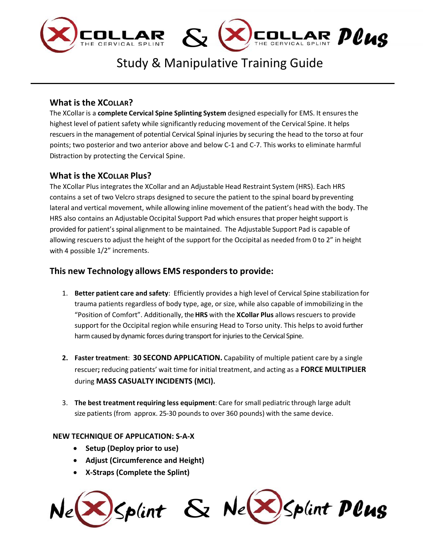



# Study & Manipulative Training Guide

**COLLAR POUS** 

# **What is the XCOLLAR?**

The XCollar is a **complete Cervical Spine Splinting System** designed especially for EMS. It ensuresthe highest level of patient safety while significantly reducing movement of the Cervical Spine. It helps rescuersin the management of potential Cervical Spinal injuries by securing the head to the torso at four points; two posterior and two anterior above and below C‐1 and C‐7. This works to eliminate harmful Distraction by protecting the Cervical Spine.

# **What is the XCOLLAR Plus?**

The XCollar Plus integrates the XCollar and an Adjustable Head Restraint System (HRS). Each HRS contains a set of two Velcro straps designed to secure the patient to the spinal board by preventing lateral and vertical movement, while allowing inline movement of the patient's head with the body. The HRS also contains an Adjustable Occipital Support Pad which ensures that proper height support is provided for patient's spinal alignment to be maintained. The Adjustable Support Pad is capable of allowing rescuers to adjust the height of the support for the Occipital as needed from 0 to 2" in height with 4 possible 1/2" increments.

# **This new Technology allows EMS respondersto provide:**

- 1. **Better patient care and safety**: Efficiently provides a high level of Cervical Spine stabilization for trauma patients regardless of body type, age, or size, while also capable of immobilizing in the "Position of Comfort". Additionally, the**HRS** with the **XCollar Plus** allows rescuers to provide support for the Occipital region while ensuring Head to Torso unity. This helps to avoid further harm caused by dynamic forces during transport for injuries to the Cervical Spine.
- **2. Faster treatment**: **30 SECOND APPLICATION.** Capability of multiple patient care by a single rescuer**;** reducing patients' wait time for initial treatment, and acting as a **FORCE MULTIPLIER** during **MASS CASUALTY INCIDENTS (MCI).**
- 3. **The best treatment requiring less equipment**: Care for small pediatric through large adult size patients (from approx. 25‐30 pounds to over 360 pounds) with the same device.

# **NEW TECHNIQUE OF APPLICATION: S‐A‐X**

- **Setup (Deploy prior to use)**
- **Adjust (Circumference and Height)**
- **X‐Straps (Complete the Splint)**

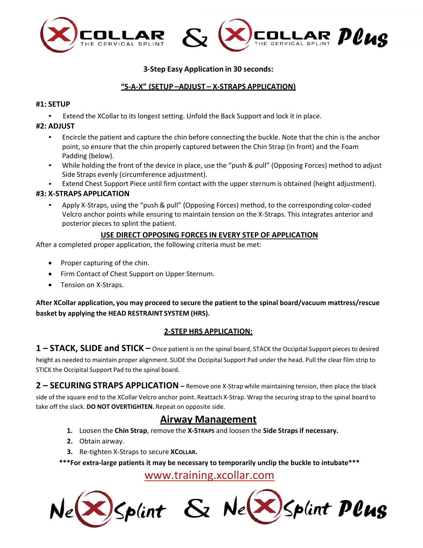

### **3‐Step Easy Application in 30 seconds:**

### **"S‐A‐X" (SETUP –ADJUST – X‐STRAPS APPLICATION)**

### **#1: SETUP**

• Extend the XCollar to its longest setting. Unfold the Back Support and lock it in place.

### **#2: ADJUST**

- Encircle the patient and capture the chin before connecting the buckle. Note that the chin is the anchor point, so ensure that the chin properly captured between the Chin Strap (in front) and the Foam Padding (below).
- While holding the front of the device in place, use the "push & pull" (Opposing Forces) method to adjust Side Straps evenly (circumference adjustment).
- Extend Chest Support Piece until firm contact with the upper sternum is obtained (height adjustment).

### **#3: X‐STRAPS APPLICATION**

• Apply X‐Straps, using the "push & pull" (Opposing Forces) method, to the corresponding color‐coded Velcro anchor points while ensuring to maintain tension on the X‐Straps. This integrates anterior and posterior pieces to splint the patient.

### **USE DIRECT OPPOSING FORCES IN EVERY STEP OF APPLICATION**

After a completed proper application, the following criteria must be met:

- Proper capturing of the chin.
- Firm Contact of Chest Support on Upper Sternum.
- Tension on X‐Straps.

**After XCollar application, you may proceed to secure the patient to the spinal board/vacuum mattress/rescue basket by applying the HEAD RESTRAINT SYSTEM (HRS).**

### **2‐STEP HRS APPLICATION:**

**1 – STACK, SLIDE and STICK –** Once patient is on the spinal board, STACK the Occipital Support pieces to desired height as needed to maintain proper alignment. SLIDE the Occipital Support Pad under the head. Pull the clear film strip to STICK the Occipital Support Pad to the spinal board.

**2 – SECURING STRAPS APPLICATION –** Remove one X‐Strap while maintaining tension, then place the black side of the square end to the XCollar Velcro anchor point. Reattach X‐Strap. Wrap the securing strap to the spinal board to take off the slack. **DO NOT OVERTIGHTEN.** Repeat on opposite side.

# **Airway Management**

- **1.** Loosen the **Chin Strap**, remove the **X‐STRAPS** and loosen the **Side Strapsif necessary.**
- **2.** Obtain airway.
- **3.** Re‐tighten X‐Straps to secure **XCOLLAR.**

**\*\*\*For extra‐large patients it may be necessary to temporarily unclip the buckle to intubate\*\*\***

www.training.xcollar.com

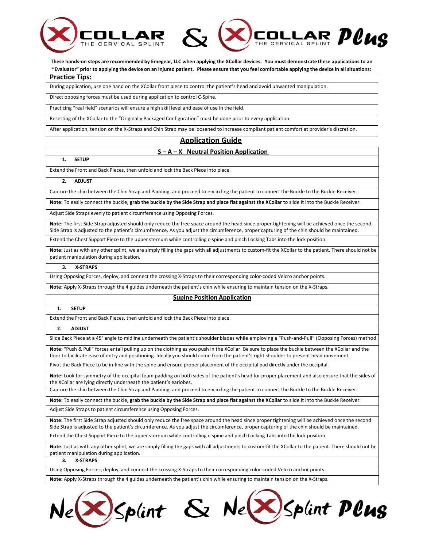



These hands-on steps are recommended by Emegear, LLC when applying the XCollar devices. You must demonstrate these applications to an "Evaluator" prior to applying the device on an injured patient. Please ensure that you feel comfortable applying the device in all situations:

### **Practice Tips:**

During application, use one hand on the XCollar front piece to control the patient's head and avoid unwanted manipulation.

Direct opposing forces must be used during application to control C‐Spine.

Practicing "real field" scenarios will ensure a high skill level and ease of use in the field.

Resetting of the XCollar to the "Originally Packaged Configuration" must be done prior to every application.

After application, tension on the X‐Straps and Chin Strap may be loosened to increase compliant patient comfort at provider's discretion.

# **Application Guide**

### **S – A – X Neutral Position Application**

### **1. SETUP**

Extend the Front and Back Pieces, then unfold and lock the Back Piece into place.

### **2. ADJUST**

Capture the chin between the Chin Strap and Padding, and proceed to encircling the patient to connect the Buckle to the Buckle Receiver.

Note: To easily connect the buckle, grab the buckle by the Side Strap and place flat against the XCollar to slide it into the Buckle Receiver.

Adjust Side Straps evenly to patient circumference using Opposing Forces.

**Note:** The first Side Strap adjusted should only reduce the free space around the head since proper tightening will be achieved once the second Side Strap is adjusted to the patient's circumference. As you adjust the circumference, proper capturing of the chin should be maintained.

Extend the Chest Support Piece to the upper sternum while controlling c-spine and pinch Locking Tabs into the lock position.

Note: Just as with any other splint, we are simply filling the gaps with all adjustments to custom-fit the XCollar to the patient. There should not be patient manipulation during application.

### **3. X‐STRAPS**

Using Opposing Forces, deploy, and connect the crossing X‐Straps to their corresponding color‐coded Velcro anchor points.

**Note:** Apply X‐Straps through the 4 guides underneath the patient's chin while ensuring to maintain tension on the X‐Straps.

### **Supine Position Application**

### **1. SETUP**

Extend the Front and Back Pieces, then unfold and lock the Back Piece into place.

#### **2. ADJUST**

Slide Back Piece at a 45° angle to midline underneath the patient's shoulder blades while employing a "Push-and-Pull" (Opposing Forces) method

**Note:** "Push & Pull" forces entail pulling up on the clothing as you push in the XCollar. Be sure to place the buckle between the XCollar and the floor to facilitate ease of entry and positioning. Ideally you should come from the patient's right shoulder to prevent head movement.

Pivot the Back Piece to be in‐line with the spine and ensure proper placement of the occipital pad directly under the occipital.

**Note:** Look for symmetry of the occipital foam padding on both sides of the patient's head for proper placement and also ensure that the sides of the XCollar are lying directly underneath the patient's earlobes.

Capture the chin between the Chin Strap and Padding, and proceed to encircling the patient to connect the Buckle to the Buckle Receiver.

Note: To easily connect the buckle, grab the buckle by the Side Strap and place flat against the XCollar to slide it into the Buckle Receiver.

Adjust Side Straps to patient circumference using Opposing Forces.

**Note:** The first Side Strap adjusted should only reduce the free space around the head since proper tightening will be achieved once the second Side Strap is adjusted to the patient's circumference. As you adjust the circumference, proper capturing of the chin should be maintained.

Extend the Chest Support Piece to the upper sternum while controlling c-spine and pinch Locking Tabs into the lock position.

Note: Just as with any other splint, we are simply filling the gaps with all adjustments to custom-fit the XCollar to the patient. There should not be patient manipulation during application.

### **3. X‐STRAPS**

Using Opposing Forces, deploy, and connect the crossing X‐Straps to their corresponding color‐coded Velcro anchor points.

**Note:** Apply X‐Straps through the 4 guides underneath the patient's chin while ensuring to maintain tension on the X‐Straps.

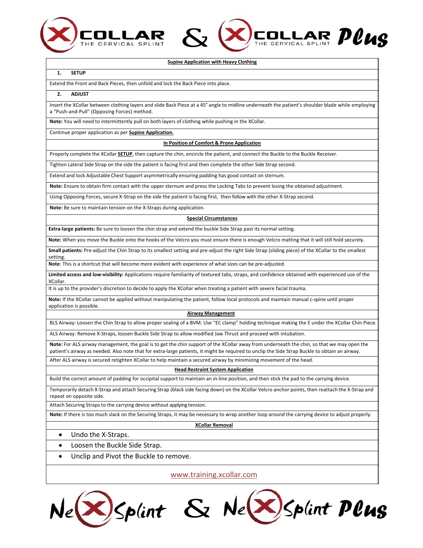

**Supine Application with Heavy Clothing**

COLLAR PCUS

#### **1. SETUP**

Extend the Front and Back Pieces, then unfold and lock the Back Piece into place.

#### **2. ADJUST**

Insert the XCollar between clothing layers and slide Back Piece at a 45° angle to midline underneath the patient's shoulder blade while employing a "Push‐and‐Pull" (Opposing Forces) method.

**Note:** You will need to intermittently pull on both layers of clothing while pushing in the XCollar.

Continue proper application as per **Supine Application.**

#### **In Position of Comfort & Prone Application**

Properly complete the XCollar **SETUP**, then capture the chin, encircle the patient, and connect the Buckle to the Buckle Receiver.

*&*

Tighten Lateral Side Strap on the side the patient is facing first and then complete the other Side Strap second.

Extend and lock Adjustable Chest Support asymmetrically ensuring padding has good contact on sternum.

**Note:** Ensure to obtain firm contact with the upper sternum and press the Locking Tabs to prevent losing the obtained adjustment.

Using Opposing Forces, secure X‐Strap on the side the patient is facing first, then follow with the other X‐Strap second.

**Note:** Be sure to maintain tension on the X‐Straps during application.

#### **Special Circumstances**

**Extra‐large patients:** Be sure to loosen the chin strap and extend the buckle Side Strap past its normal setting.

**Note:** When you move the Buckle onto the hooks of the Velcro you must ensure there is enough Velcro matting that it will still hold securely.

Small patients: Pre-adjust the Chin Strap to its smallest setting and pre-adjust the right Side Strap (sliding piece) of the XCollar to the smallest setting.

**Note**: This is a shortcut that will become more evident with experience of what sizes can be pre‐adjusted.

**Limited access and low‐visibility:** Applications require familiarity of textured tabs, straps, and confidence obtained with experienced use of the XCollar.

It is up to the provider's discretion to decide to apply the XCollar when treating a patient with severe facial trauma.

**Note:** If the XCollar cannot be applied without manipulating the patient, follow local protocols and maintain manual c‐spine until proper application is possible.

#### **Airway Management**

BLS Airway: Loosen the Chin Strap to allow proper sealing of a BVM. Use "EC clamp" holding technique making the E under the XCollar Chin Piece.

ALS Airway: Remove X‐Straps, loosen Buckle Side Strap to allow modified Jaw Thrust and proceed with intubation.

**Note:** For ALS airway management, the goal is to get the chin support of the XCollar away from underneath the chin, so that we may open the patient's airway as needed. Also note that for extra-large patients, it might be required to unclip the Side Strap Buckle to obtain an airway.

After ALS airway is secured retighten XCollar to help maintain a secured airway by minimizing movement of the head.

### **Head Restraint System Application**

Build the correct amount of padding for occipital support to maintain an in‐line position, and then stick the pad to the carrying device.

Temporarily detach X‐Strap and attach Securing Strap (black side facing down) on the XCollar Velcro anchor points, then reattach the X‐Strap and repeat on opposite side.

Attach Securing Straps to the carrying device without applying tension.

**Note:** If there is too much slack on the Securing Straps, it may be necessary to wrap another loop around the carrying device to adjust properly.

**XCollar Removal**

- Undo the X-Straps.
- Loosen the Buckle Side Strap.
- Unclip and Pivot the Buckle to remove.

www.training.xcollar.com

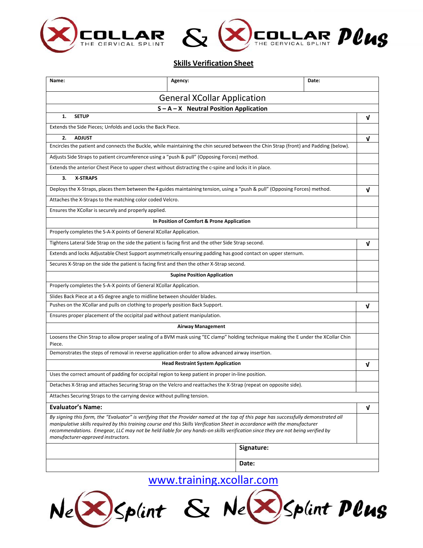



### **Skills Verification Sheet**

| Name:                                                                                                                                                                                                                                                                                                                                                                                                                                       | Agency:                  |            | Date: |   |
|---------------------------------------------------------------------------------------------------------------------------------------------------------------------------------------------------------------------------------------------------------------------------------------------------------------------------------------------------------------------------------------------------------------------------------------------|--------------------------|------------|-------|---|
| <b>General XCollar Application</b>                                                                                                                                                                                                                                                                                                                                                                                                          |                          |            |       |   |
| $S - A - X$ Neutral Position Application                                                                                                                                                                                                                                                                                                                                                                                                    |                          |            |       |   |
| 1.<br><b>SETUP</b>                                                                                                                                                                                                                                                                                                                                                                                                                          |                          |            |       | ν |
| Extends the Side Pieces; Unfolds and Locks the Back Piece.                                                                                                                                                                                                                                                                                                                                                                                  |                          |            |       |   |
| <b>ADJUST</b><br>2.                                                                                                                                                                                                                                                                                                                                                                                                                         |                          |            |       | ν |
| Encircles the patient and connects the Buckle, while maintaining the chin secured between the Chin Strap (front) and Padding (below).                                                                                                                                                                                                                                                                                                       |                          |            |       |   |
| Adjusts Side Straps to patient circumference using a "push & pull" (Opposing Forces) method.                                                                                                                                                                                                                                                                                                                                                |                          |            |       |   |
| Extends the anterior Chest Piece to upper chest without distracting the c-spine and locks it in place.                                                                                                                                                                                                                                                                                                                                      |                          |            |       |   |
| 3.<br><b>X-STRAPS</b>                                                                                                                                                                                                                                                                                                                                                                                                                       |                          |            |       |   |
| Deploys the X-Straps, places them between the 4 guides maintaining tension, using a "push & pull" (Opposing Forces) method.                                                                                                                                                                                                                                                                                                                 |                          |            |       | ν |
| Attaches the X-Straps to the matching color coded Velcro.                                                                                                                                                                                                                                                                                                                                                                                   |                          |            |       |   |
| Ensures the XCollar is securely and properly applied.                                                                                                                                                                                                                                                                                                                                                                                       |                          |            |       |   |
| In Position of Comfort & Prone Application                                                                                                                                                                                                                                                                                                                                                                                                  |                          |            |       |   |
| Properly completes the S-A-X points of General XCollar Application.                                                                                                                                                                                                                                                                                                                                                                         |                          |            |       |   |
| Tightens Lateral Side Strap on the side the patient is facing first and the other Side Strap second.                                                                                                                                                                                                                                                                                                                                        |                          |            |       | ν |
| Extends and locks Adjustable Chest Support asymmetrically ensuring padding has good contact on upper sternum.                                                                                                                                                                                                                                                                                                                               |                          |            |       |   |
| Secures X-Strap on the side the patient is facing first and then the other X-Strap second.                                                                                                                                                                                                                                                                                                                                                  |                          |            |       |   |
| <b>Supine Position Application</b>                                                                                                                                                                                                                                                                                                                                                                                                          |                          |            |       |   |
| Properly completes the S-A-X points of General XCollar Application.                                                                                                                                                                                                                                                                                                                                                                         |                          |            |       |   |
| Slides Back Piece at a 45 degree angle to midline between shoulder blades.                                                                                                                                                                                                                                                                                                                                                                  |                          |            |       |   |
| Pushes on the XCollar and pulls on clothing to properly position Back Support.                                                                                                                                                                                                                                                                                                                                                              |                          |            |       | V |
| Ensures proper placement of the occipital pad without patient manipulation.                                                                                                                                                                                                                                                                                                                                                                 |                          |            |       |   |
|                                                                                                                                                                                                                                                                                                                                                                                                                                             | <b>Airway Management</b> |            |       |   |
| Loosens the Chin Strap to allow proper sealing of a BVM mask using "EC clamp" holding technique making the E under the XCollar Chin<br>Piece.                                                                                                                                                                                                                                                                                               |                          |            |       |   |
| Demonstrates the steps of removal in reverse application order to allow advanced airway insertion.                                                                                                                                                                                                                                                                                                                                          |                          |            |       |   |
| <b>Head Restraint System Application</b>                                                                                                                                                                                                                                                                                                                                                                                                    |                          |            |       | V |
| Uses the correct amount of padding for occipital region to keep patient in proper in-line position.                                                                                                                                                                                                                                                                                                                                         |                          |            |       |   |
| Detaches X-Strap and attaches Securing Strap on the Velcro and reattaches the X-Strap (repeat on opposite side).                                                                                                                                                                                                                                                                                                                            |                          |            |       |   |
| Attaches Securing Straps to the carrying device without pulling tension.                                                                                                                                                                                                                                                                                                                                                                    |                          |            |       |   |
| <b>Evaluator's Name:</b>                                                                                                                                                                                                                                                                                                                                                                                                                    |                          |            |       | ν |
| By signing this form, the "Evaluator" is verifying that the Provider named at the top of this page has successfully demonstrated all<br>manipulative skills required by this training course and this Skills Verification Sheet in accordance with the manufacturer<br>recommendations. Emegear, LLC may not be held liable for any hands-on skills verification since they are not being verified by<br>manufacturer-approved instructors. |                          |            |       |   |
|                                                                                                                                                                                                                                                                                                                                                                                                                                             |                          | Signature: |       |   |
|                                                                                                                                                                                                                                                                                                                                                                                                                                             |                          |            |       |   |
| Date:                                                                                                                                                                                                                                                                                                                                                                                                                                       |                          |            |       |   |

 $N_{e}(\sqrt{\lambda})$ Splint & Ne $\sqrt{\lambda}$ Splint Plus www.training.xcollar.com